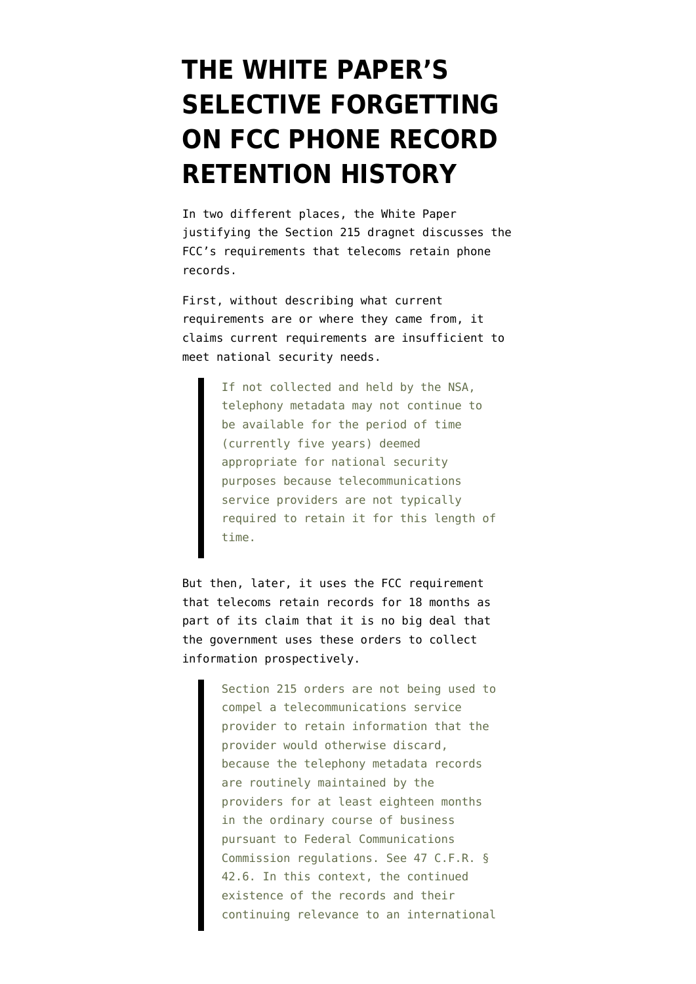## **[THE WHITE PAPER'S](https://www.emptywheel.net/2013/08/11/the-white-papers-selective-forgetting-on-fcc-phone-record-retention-history/) [SELECTIVE FORGETTING](https://www.emptywheel.net/2013/08/11/the-white-papers-selective-forgetting-on-fcc-phone-record-retention-history/) [ON FCC PHONE RECORD](https://www.emptywheel.net/2013/08/11/the-white-papers-selective-forgetting-on-fcc-phone-record-retention-history/) [RETENTION HISTORY](https://www.emptywheel.net/2013/08/11/the-white-papers-selective-forgetting-on-fcc-phone-record-retention-history/)**

In two different places, the [White Paper](https://s3.amazonaws.com/s3.documentcloud.org/documents/750223/obama-administrations-legal-rationale-for.pdf) justifying the Section 215 dragnet discusses the FCC's requirements that telecoms retain phone records.

First, without describing what current requirements are or where they came from, it claims current requirements are insufficient to meet national security needs.

> If not collected and held by the NSA, telephony metadata may not continue to be available for the period of time (currently five years) deemed appropriate for national security purposes because telecommunications service providers are not typically required to retain it for this length of time.

But then, later, it uses the FCC requirement that telecoms retain records for 18 months as part of its claim that it is no big deal that the government uses these orders to collect information prospectively.

> Section 215 orders are not being used to compel a telecommunications service provider to retain information that the provider would otherwise discard, because the telephony metadata records are routinely maintained by the providers for at least eighteen months in the ordinary course of business pursuant to Federal Communications Commission regulations. See 47 C.F.R. § 42.6. In this context, the continued existence of the records and their continuing relevance to an international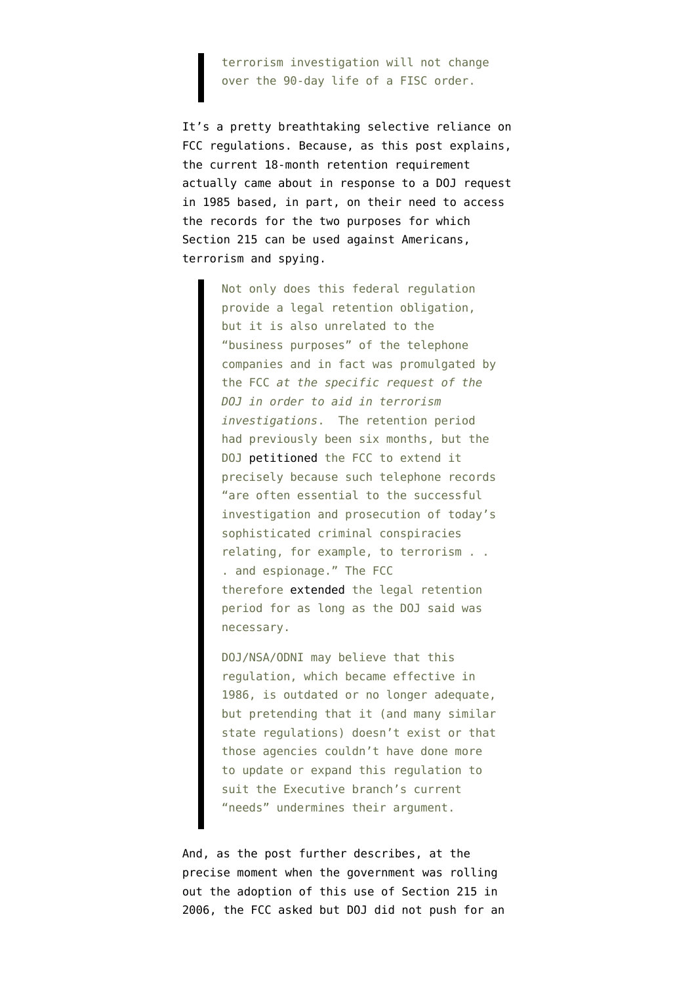terrorism investigation will not change over the 90-day life of a FISC order.

It's a pretty breathtaking selective reliance on FCC regulations. Because, as [this post](http://www.docexblog.com/2013/07/more-misleading-information-from-odni.html) explains, the current 18-month retention requirement actually came about in response to a DOJ request in 1985 based, in part, on their need to access the records for the two purposes for which Section 215 can be used against Americans, terrorism and spying.

> Not only does this federal regulation provide a legal retention obligation, but it is also unrelated to the "business purposes" of the telephone companies and in fact was promulgated by the FCC *at the specific request of the DOJ in order to aid in terrorism investigations*. The retention period had previously been six months, but the DOJ [petitioned](http://www.dcoxfiles.com/FCC1985.pdf) the FCC to extend it precisely because such telephone records "are often essential to the successful investigation and prosecution of today's sophisticated criminal conspiracies relating, for example, to terrorism . . . and espionage." The FCC therefore [extended](http://www.dcoxfiles.com/FCC1986.pdf) the legal retention period for as long as the DOJ said was necessary.

> DOJ/NSA/ODNI may believe that this regulation, which became effective in 1986, is outdated or no longer adequate, but pretending that it (and many similar state regulations) doesn't exist or that those agencies couldn't have done more to update or expand this regulation to suit the Executive branch's current "needs" undermines their argument.

And, as the post further describes, at the precise moment when the government was rolling out the adoption of this use of Section 215 in 2006, the FCC asked but DOJ did not push for an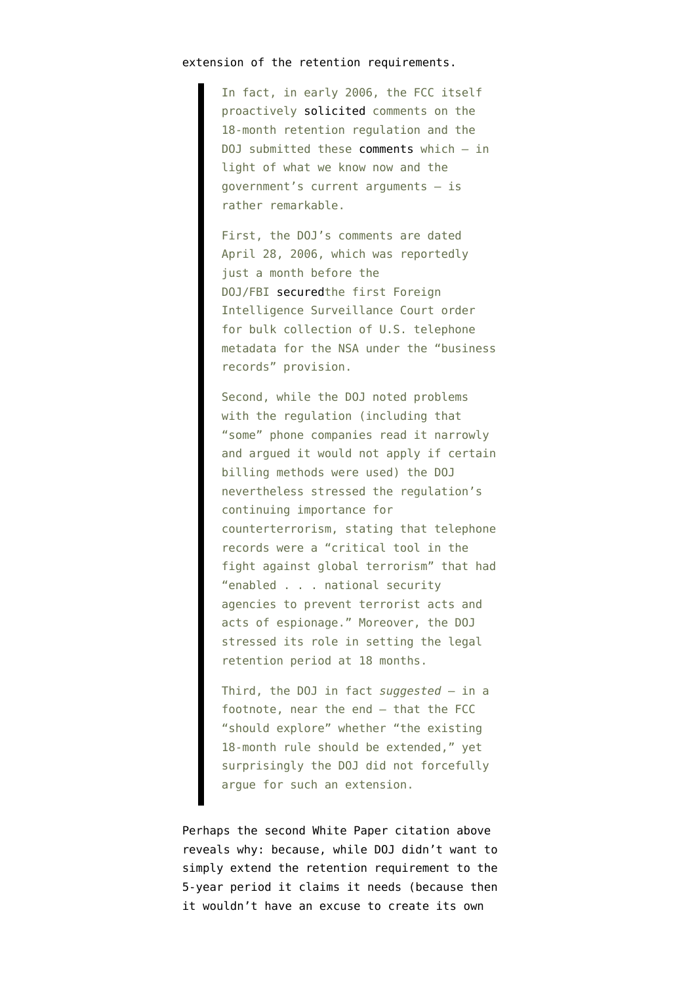## extension of the retention requirements.

In fact, in early 2006, the FCC itself proactively [solicited](http://fjallfoss.fcc.gov/edocs_public/attachmatch/FCC-06-10A1.pdf) comments on the 18-month retention regulation and the DOJ submitted these [comments](http://www.dcoxfiles.com/DOJDHSComment.pdf) which — in light of what we know now and the government's current arguments — is rather remarkable.

First, the DOJ's comments are dated April 28, 2006, which was reportedly just a month before the DOJ/FBI [securedt](http://www.guardian.co.uk/world/interactive/2013/jun/27/nsa-inspector-general-report-document-data-collection)he first Foreign Intelligence Surveillance Court order for bulk collection of U.S. telephone metadata for the NSA under the "business records" provision.

Second, while the DOJ noted problems with the regulation (including that "some" phone companies read it narrowly and argued it would not apply if certain billing methods were used) the DOJ nevertheless stressed the regulation's continuing importance for counterterrorism, stating that telephone records were a "critical tool in the fight against global terrorism" that had "enabled . . . national security agencies to prevent terrorist acts and acts of espionage." Moreover, the DOJ stressed its role in setting the legal retention period at 18 months.

Third, the DOJ in fact *suggested* — in a footnote, near the end — that the FCC "should explore" whether "the existing 18-month rule should be extended," yet surprisingly the DOJ did not forcefully argue for such an extension.

Perhaps the second White Paper citation above reveals why: because, while DOJ didn't want to simply extend the retention requirement to the 5-year period it claims it needs (because then it wouldn't have an excuse to create its own